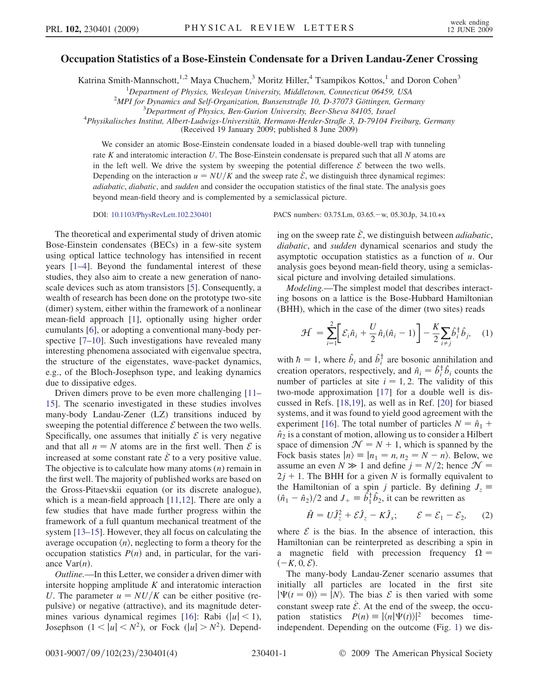## Occupation Statistics of a Bose-Einstein Condensate for a Driven Landau-Zener Crossing

Katrina Smith-Mannschott,<sup>1,2</sup> Maya Chuchem,<sup>3</sup> Moritz Hiller,<sup>4</sup> Tsampikos Kottos,<sup>1</sup> and Doron Cohen<sup>3</sup>

<sup>1</sup>Department of Physics, Wesleyan University, Middletown, Connecticut 06459, USA<br><sup>2</sup>MPL for Dynamics and Self Organization, Bunsenstraße 10, D.37073 Göttingen, Germ

 $^{2}$ MPI for Dynamics and Self-Organization, Bunsenstraße 10, D-37073 Göttingen, Germany

 $3$ Department of Physics, Ben-Gurion University, Beer-Sheva 84105, Israel

<sup>4</sup>Physikalisches Institut, Albert-Ludwigs-Universität, Hermann-Herder-Straße 3, D-79104 Freiburg, Germany

(Received 19 January 2009; published 8 June 2009)

We consider an atomic Bose-Einstein condensate loaded in a biased double-well trap with tunneling rate K and interatomic interaction  $U$ . The Bose-Einstein condensate is prepared such that all  $N$  atoms are in the left well. We drive the system by sweeping the potential difference  $\mathcal E$  between the two wells. Depending on the interaction  $u = N U/K$  and the sweep rate  $\mathcal{E}$ , we distinguish three dynamical regimes: adiabatic, diabatic, and sudden and consider the occupation statistics of the final state. The analysis goes beyond mean-field theory and is complemented by a semiclassical picture.

The theoretical and experimental study of driven atomic Bose-Einstein condensates (BECs) in a few-site system using optical lattice technology has intensified in recent years [\[1](#page-3-0)–[4\]](#page-3-1). Beyond the fundamental interest of these studies, they also aim to create a new generation of nanoscale devices such as atom transistors [\[5](#page-3-2)]. Consequently, a wealth of research has been done on the prototype two-site (dimer) system, either within the framework of a nonlinear mean-field approach [[1\]](#page-3-0), optionally using higher order cumulants [\[6](#page-3-3)], or adopting a conventional many-body perspective [\[7–](#page-3-4)[10](#page-3-5)]. Such investigations have revealed many interesting phenomena associated with eigenvalue spectra, the structure of the eigenstates, wave-packet dynamics, e.g., of the Bloch-Josephson type, and leaking dynamics due to dissipative edges.

Driven dimers prove to be even more challenging [\[11–](#page-3-6) [15](#page-3-7)]. The scenario investigated in these studies involves many-body Landau-Zener (LZ) transitions induced by sweeping the potential difference  $\mathcal E$  between the two wells. Specifically, one assumes that initially  $\mathcal E$  is very negative and that all  $n = N$  atoms are in the first well. Then  $\mathcal E$  is increased at some constant rate  $\dot{\mathcal{E}}$  to a very positive value. The objective is to calculate how many atoms  $(n)$  remain in the first well. The majority of published works are based on the Gross-Pitaevskii equation (or its discrete analogue), which is a mean-field approach [\[11,](#page-3-6)[12\]](#page-3-8). There are only a few studies that have made further progress within the framework of a full quantum mechanical treatment of the system [[13](#page-3-9)–[15](#page-3-7)]. However, they all focus on calculating the average occupation  $\langle n \rangle$ , neglecting to form a theory for the occupation statistics  $P(n)$  and, in particular, for the variance  $Var(n)$ .

Outline.—In this Letter, we consider a driven dimer with intersite hopping amplitude  $K$  and interatomic interaction U. The parameter  $u = NU/K$  can be either positive (repulsive) or negative (attractive), and its magnitude deter-mines various dynamical regimes [[16\]](#page-3-10): Rabi  $(|u| < 1)$ , Josephson  $(1 < |u| < N^2)$ , or Fock  $(|u| > N^2)$ . Depend-

DOI: [10.1103/PhysRevLett.102.230401](http://dx.doi.org/10.1103/PhysRevLett.102.230401) PACS numbers: 03.75.Lm, 03.65. - w, 05.30.Jp, 34.10.+x

ing on the sweep rate  $\dot{\mathcal{E}}$ , we distinguish between *adiabatic*, diabatic, and sudden dynamical scenarios and study the asymptotic occupation statistics as a function of  $u$ . Our analysis goes beyond mean-field theory, using a semiclassical picture and involving detailed simulations.

Modeling.—The simplest model that describes interacting bosons on a lattice is the Bose-Hubbard Hamiltonian (BHH), which in the case of the dimer (two sites) reads

$$
\mathcal{H} = \sum_{i=1}^{2} \left[ \mathcal{E}_{i} \hat{n}_{i} + \frac{U}{2} \hat{n}_{i} (\hat{n}_{i} - 1) \right] - \frac{K}{2} \sum_{i \neq j} \hat{b}_{i}^{\dagger} \hat{b}_{j}, \quad (1)
$$

with  $\hbar = 1$ , where  $\hat{b}_i$  and  $\hat{b}_i^{\dagger}$  are bosonic annihilation and creation operators, respectively, and  $\hat{n}_i = \hat{b}_i^{\dagger} \hat{b}_i$  counts the number of particles at site  $i = 1, 2$ . The validity of this two-mode approximation [[17](#page-3-11)] for a double well is discussed in Refs. [\[18,](#page-3-12)[19\]](#page-3-13), as well as in Ref. [[20\]](#page-3-14) for biased systems, and it was found to yield good agreement with the experiment [[16](#page-3-10)]. The total number of particles  $N = \hat{n}_1 +$  $\hat{n}_2$  is a constant of motion, allowing us to consider a Hilbert space of dimension  $\mathcal{N} = N + 1$ , which is spanned by the Fock basis states  $|n\rangle = |n_1 = n, n_2 = N - n\rangle$ . Below, we assume an even  $N \gg 1$  and define  $j = N/2$ ; hence  $\mathcal{N} =$  $2j + 1$ . The BHH for a given N is formally equivalent to the Hamiltonian of a spin j particle. By defining  $J_z \equiv$  $(\hat{n}_1 - \hat{n}_2)/2$  and  $J_+ \equiv \hat{b}_1^{\dagger} \hat{b}_2$ , it can be rewritten as

$$
\hat{H} = U\hat{J}_z^2 + \mathcal{E}\hat{J}_z - K\hat{J}_x; \qquad \mathcal{E} = \mathcal{E}_1 - \mathcal{E}_2, \qquad (2)
$$

where  $\mathcal E$  is the bias. In the absence of interaction, this Hamiltonian can be reinterpreted as describing a spin in a magnetic field with precession frequency  $\Omega =$  $(-K, 0, \mathcal{E}).$ 

The many-body Landau-Zener scenario assumes that initially all particles are located in the first site  $|\Psi(t=0)\rangle = |N\rangle$ . The bias  $\mathcal E$  is then varied with some constant sweep rate  $\dot{\mathcal{E}}$ . At the end of the sweep, the occupation statistics  $P(n) \equiv |\langle n | \Psi(t) \rangle|^2$  becomes timeindependent. Depending on the outcome (Fig. [1](#page-1-0)) we dis-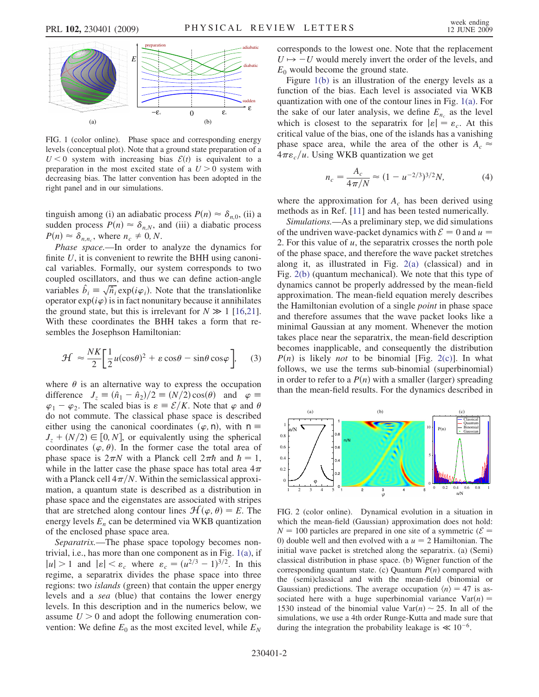<span id="page-1-0"></span>

<span id="page-1-1"></span>FIG. 1 (color online). Phase space and corresponding energy levels (conceptual plot). Note that a ground state preparation of a  $U < 0$  system with increasing bias  $\mathcal{E}(t)$  is equivalent to a preparation in the most excited state of a  $U > 0$  system with decreasing bias. The latter convention has been adopted in the right panel and in our simulations.

tinguish among (i) an adiabatic process  $P(n) \approx \delta_{n,0}$ , (ii) a sudden process  $P(n) \approx \delta_{n,N}$ , and (iii) a diabatic process  $P(n) \approx \delta_{n,n_c}$ , where  $n_c \neq 0, N$ .

Phase space.—In order to analyze the dynamics for finite  $U$ , it is convenient to rewrite the BHH using canonical variables. Formally, our system corresponds to two coupled oscillators, and thus we can define action-angle variables  $\hat{b}_i \equiv \sqrt{\hat{n}_i} \exp(i\varphi_i)$ . Note that the translationlike operator  $\exp(i\varphi)$  is in fact nonunitary because it annihilates the ground state, but this is irrelevant for  $N \gg 1$  [\[16](#page-3-10)[,21\]](#page-3-15). With these coordinates the BHH takes a form that resembles the Josephson Hamiltonian:

$$
\mathcal{H} \approx \frac{NK}{2} \left[ \frac{1}{2} u(\cos \theta)^2 + \varepsilon \cos \theta - \sin \theta \cos \varphi \right], \quad (3)
$$

where  $\theta$  is an alternative way to express the occupation difference  $J_z \equiv (\hat{n}_1 - \hat{n}_2)/2 \equiv (N/2)\cos(\theta)$  and  $\varphi \equiv$  $\varphi_1 - \varphi_2$ . The scaled bias is  $\varepsilon = \mathcal{E}/K$ . Note that  $\varphi$  and  $\theta$ do not commute. The classical phase space is described either using the canonical coordinates  $(\varphi, n)$ , with  $n \equiv$  $J_z + (N/2) \in [0, N]$ , or equivalently using the spherical coordinates  $(\varphi, \theta)$ . In the former case the total area of phase space is  $2\pi N$  with a Planck cell  $2\pi \hbar$  and  $\hbar = 1$ , while in the latter case the phase space has total area  $4\pi$ with a Planck cell  $4\pi/N$ . Within the semiclassical approximation, a quantum state is described as a distribution in phase space and the eigenstates are associated with stripes that are stretched along contour lines  $\mathcal{H}(\varphi, \theta) = E$ . The energy levels  $E_n$  can be determined via WKB quantization of the enclosed phase space area.

Separatrix.—The phase space topology becomes nontrivial, i.e., has more than one component as in Fig. [1\(a\),](#page-1-1) if  $|u| > 1$  and  $|\varepsilon| < \varepsilon_c$  where  $\varepsilon_c = (u^{2/3} - 1)^{3/2}$ . In this regime, a separatrix divides the phase space into three regions: two islands (green) that contain the upper energy levels and a sea (blue) that contains the lower energy levels. In this description and in the numerics below, we assume  $U > 0$  and adopt the following enumeration convention: We define  $E_0$  as the most excited level, while  $E_N$  corresponds to the lowest one. Note that the replacement  $U \mapsto -U$  would merely invert the order of the levels, and  $E_0$  would become the ground state.

Figure [1\(b\)](#page-1-1) is an illustration of the energy levels as a function of the bias. Each level is associated via WKB quantization with one of the contour lines in Fig. [1\(a\)](#page-1-1). For the sake of our later analysis, we define  $E_{n_a}$  as the level which is closest to the separatrix for  $|\varepsilon| = \varepsilon_c$ . At this critical value of the bias, one of the islands has a vanishing phase space area, while the area of the other is  $A_c \approx$  $4\pi\varepsilon_c/u$ . Using WKB quantization we get

$$
n_c = \frac{A_c}{4\pi/N} \approx (1 - u^{-2/3})^{3/2} N,\tag{4}
$$

where the approximation for  $A_c$  has been derived using methods as in Ref. [[11](#page-3-6)] and has been tested numerically.

Simulations.—As a preliminary step, we did simulations of the undriven wave-packet dynamics with  $\mathcal{E} = 0$  and  $u =$ 2. For this value of  $u$ , the separatrix crosses the north pole of the phase space, and therefore the wave packet stretches along it, as illustrated in Fig. [2\(a\)](#page-1-2) (classical) and in Fig. [2\(b\)](#page-1-2) (quantum mechanical). We note that this type of dynamics cannot be properly addressed by the mean-field approximation. The mean-field equation merely describes the Hamiltonian evolution of a single point in phase space and therefore assumes that the wave packet looks like a minimal Gaussian at any moment. Whenever the motion takes place near the separatrix, the mean-field description becomes inapplicable, and consequently the distribution  $P(n)$  is likely *not* to be binomial [Fig. [2\(c\)](#page-1-2)]. In what follows, we use the terms sub-binomial (superbinomial) in order to refer to a  $P(n)$  with a smaller (larger) spreading than the mean-field results. For the dynamics described in

<span id="page-1-3"></span>

<span id="page-1-2"></span>FIG. 2 (color online). Dynamical evolution in a situation in which the mean-field (Gaussian) approximation does not hold:  $N = 100$  particles are prepared in one site of a symmetric ( $\mathcal{E} =$ 0) double well and then evolved with a  $u = 2$  Hamiltonian. The initial wave packet is stretched along the separatrix. (a) (Semi) classical distribution in phase space. (b) Wigner function of the corresponding quantum state. (c) Quantum  $P(n)$  compared with the (semi)classical and with the mean-field (binomial or Gaussian) predictions. The average occupation  $\langle n \rangle = 47$  is associated here with a huge superbinomial variance  $Var(n) =$ 1530 instead of the binomial value  $Var(n) \sim 25$ . In all of the simulations, we use a 4th order Runge-Kutta and made sure that during the integration the probability leakage is  $\ll 10^{-6}$ .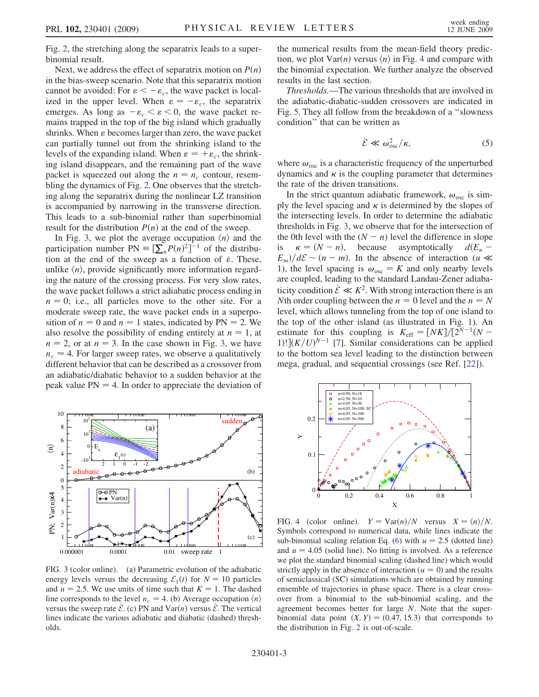Fig. [2,](#page-1-3) the stretching along the separatrix leads to a superbinomial result.

Next, we address the effect of separatrix motion on  $P(n)$ in the bias-sweep scenario. Note that this separatrix motion cannot be avoided: For  $\varepsilon < -\varepsilon_c$ , the wave packet is localized in the upper level. When  $\varepsilon = -\varepsilon_c$ , the separatrix emerges. As long as  $-\varepsilon_c < \varepsilon < 0$ , the wave packet remains trapped in the top of the big island which gradually shrinks. When  $\varepsilon$  becomes larger than zero, the wave packet can partially tunnel out from the shrinking island to the levels of the expanding island. When  $\varepsilon = +\varepsilon_c$ , the shrinking island disappears, and the remaining part of the wave packet is squeezed out along the  $n = n_c$  contour, resembling the dynamics of Fig. [2.](#page-1-3) One observes that the stretching along the separatrix during the nonlinear LZ transition is accompanied by narrowing in the transverse direction. This leads to a sub-binomial rather than superbinomial result for the distribution  $P(n)$  at the end of the sweep.

In Fig. [3](#page-2-0), we plot the average occupation  $\langle n \rangle$  and the participation number  $PN \equiv \left[\sum_{n} P(n)^2\right]^{-1}$  of the distribution at the end of the sweep as a function of  $\dot{\varepsilon}$ . These, unlike  $\langle n \rangle$ , provide significantly more information regarding the nature of the crossing process. For very slow rates, the wave packet follows a strict adiabatic process ending in  $n = 0$ ; i.e., all particles move to the other site. For a moderate sweep rate, the wave packet ends in a superposition of  $n = 0$  and  $n = 1$  states, indicated by PN = 2. We also resolve the possibility of ending entirely at  $n = 1$ , at  $n = 2$ , or at  $n = 3$ . In the case shown in Fig. [3,](#page-2-0) we have  $n_c \approx 4$ . For larger sweep rates, we observe a qualitatively different behavior that can be described as a crossover from an adiabatic/diabatic behavior to a sudden behavior at the peak value  $PN = 4$ . In order to appreciate the deviation of the numerical results from the mean-field theory prediction, we plot  $Var(n)$  versus  $\langle n \rangle$  in Fig. [4](#page-2-1) and compare with the binomial expectation. We further analyze the observed results in the last section.

Thresholds.—The various thresholds that are involved in the adiabatic-diabatic-sudden crossovers are indicated in Fig. [5.](#page-3-16) They all follow from the breakdown of a ''slowness condition'' that can be written as

$$
\dot{\mathcal{E}} \ll \omega_{\rm osc}^2/\kappa,\tag{5}
$$

where  $\omega_{\rm osc}$  is a characteristic frequency of the unperturbed dynamics and  $\kappa$  is the coupling parameter that determines the rate of the driven transitions.

In the strict quantum adiabatic framework,  $\omega_{\rm osc}$  is simply the level spacing and  $\kappa$  is determined by the slopes of the intersecting levels. In order to determine the adiabatic thresholds in Fig. [3,](#page-2-0) we observe that for the intersection of the 0th level with the  $(N - n)$  level the difference in slope<br>is  $\kappa = (N - n)$ , because asymptotically  $dE_n$  $\kappa = (N - n)$ , because asymptotically  $d(E_n E_m/d\mathcal{E} \sim (n-m)$ . In the absence of interaction (u  $\ll$ 1), the level spacing is  $\omega_{\text{osc}} = K$  and only nearby levels are coupled, leading to the standard Landau-Zener adiabaticity condition  $\dot{\mathcal{E}} \ll K^2$ . With strong interaction there is an Nth order coupling between the  $n = 0$  level and the  $n = N$ level, which allows tunneling from the top of one island to the top of the other island (as illustrated in Fig. [1\)](#page-1-0). An estimate for this coupling is  $K_{\text{eff}} = [NK]/[2^{N-1}(N-$ 1)! $\int (K/U)^{N-1}$  [\[7](#page-3-4)]. Similar considerations can be applied to the bottom sea level leading to the distinction between mega, gradual, and sequential crossings (see Ref. [\[22\]](#page-3-17)).

<span id="page-2-0"></span>

FIG. 3 (color online). (a) Parametric evolution of the adiabatic energy levels versus the decreasing  $\mathcal{E}_1(t)$  for  $N = 10$  particles and  $u = 2.5$ . We use units of time such that  $K = 1$ . The dashed line corresponds to the level  $n_c = 4$ . (b) Average occupation  $\langle n \rangle$ versus the sweep rate  $\dot{\mathcal{E}}$ . (c) PN and Var $(n)$  versus  $\dot{\mathcal{E}}$ . The vertical lines indicate the various adiabatic and diabatic (dashed) thresholds.

<span id="page-2-1"></span>

FIG. 4 (color online).  $Y = \text{Var}(n)/N$  versus  $X = \langle n \rangle/N$ . Symbols correspond to numerical data, while lines indicate the sub-binomial scaling relation Eq. ([6\)](#page-3-18) with  $u = 2.5$  (dotted line) and  $u = 4.05$  (solid line). No fitting is involved. As a reference we plot the standard binomial scaling (dashed line) which would strictly apply in the absence of interaction ( $u = 0$ ) and the results of semiclassical (SC) simulations which are obtained by running ensemble of trajectories in phase space. There is a clear crossover from a binomial to the sub-binomial scaling, and the agreement becomes better for large N. Note that the superbinomial data point  $(X, Y) = (0.47, 15.3)$  that corresponds to the distribution in Fig. [2](#page-1-3) is out-of-scale.